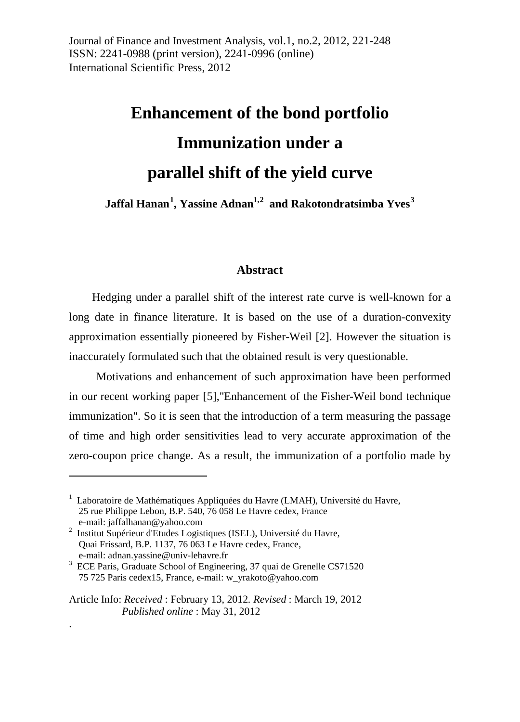Journal of Finance and Investment Analysis, vol.1, no.2, 2012, 221-248 ISSN: 2241-0988 (print version), 2241-0996 (online) International Scientific Press, 2012

# **Enhancement of the bond portfolio Immunization under a parallel shift of the yield curve**

**Jaffal Hanan[1](#page-0-0) , Yassine Adnan1,[2](#page-0-1) and Rakotondratsimba Yves[3](#page-0-2)**

#### **Abstract**

Hedging under a parallel shift of the interest rate curve is well-known for a long date in finance literature. It is based on the use of a duration-convexity approximation essentially pioneered by Fisher-Weil [2]. However the situation is inaccurately formulated such that the obtained result is very questionable.

Motivations and enhancement of such approximation have been performed in our recent working paper [5],"Enhancement of the Fisher-Weil bond technique immunization". So it is seen that the introduction of a term measuring the passage of time and high order sensitivities lead to very accurate approximation of the zero-coupon price change. As a result, the immunization of a portfolio made by

<u>.</u>

.

<span id="page-0-0"></span><sup>&</sup>lt;sup>1</sup> Laboratoire de Mathématiques Appliquées du Havre (LMAH), Université du Havre, 25 rue Philippe Lebon, B.P. 540, 76 058 Le Havre cedex, France

<span id="page-0-1"></span> $^{2}$  Institut Supérieur d'Etudes Logistiques (ISEL), Université du Havre, Quai Frissard, B.P. 1137, 76 063 Le Havre cedex, France,

<span id="page-0-2"></span>e-mail: adnan.yassine@univ-lehavre.fr<br><sup>3</sup> ECE Paris, Graduate School of Engineering, 37 quai de Grenelle CS71520 75 725 Paris cedex15, France, e-mail: w\_yrakoto@yahoo.com

Article Info: *Received* : February 13, 2012*. Revised* : March 19, 2012 *Published online* : May 31, 2012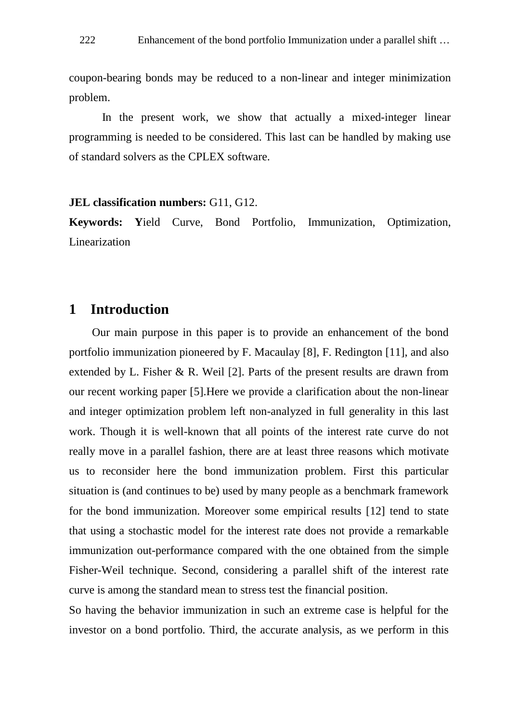coupon-bearing bonds may be reduced to a non-linear and integer minimization problem.

In the present work, we show that actually a mixed-integer linear programming is needed to be considered. This last can be handled by making use of standard solvers as the CPLEX software.

#### **JEL classification numbers:** G11, G12.

**Keywords: Y**ield Curve, Bond Portfolio, Immunization, Optimization, Linearization

# **1 Introduction**

 Our main purpose in this paper is to provide an enhancement of the bond portfolio immunization pioneered by F. Macaulay [8], F. Redington [11], and also extended by L. Fisher  $\&$  R. Weil [2]. Parts of the present results are drawn from our recent working paper [5].Here we provide a clarification about the non-linear and integer optimization problem left non-analyzed in full generality in this last work. Though it is well-known that all points of the interest rate curve do not really move in a parallel fashion, there are at least three reasons which motivate us to reconsider here the bond immunization problem. First this particular situation is (and continues to be) used by many people as a benchmark framework for the bond immunization. Moreover some empirical results [12] tend to state that using a stochastic model for the interest rate does not provide a remarkable immunization out-performance compared with the one obtained from the simple Fisher-Weil technique. Second, considering a parallel shift of the interest rate curve is among the standard mean to stress test the financial position.

So having the behavior immunization in such an extreme case is helpful for the investor on a bond portfolio. Third, the accurate analysis, as we perform in this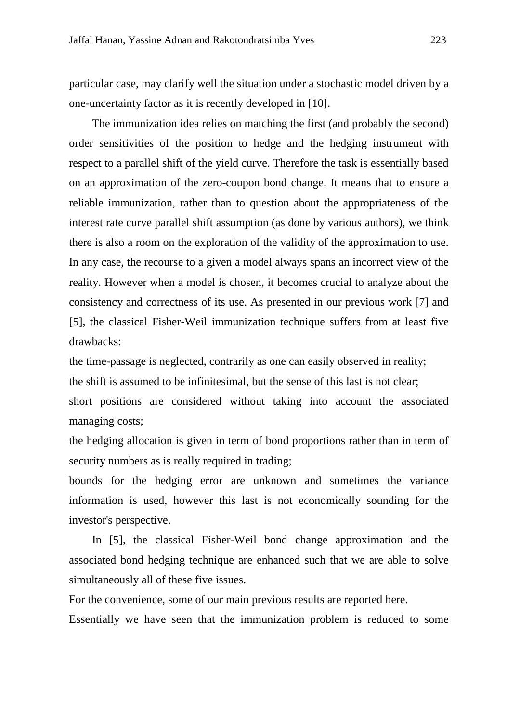particular case, may clarify well the situation under a stochastic model driven by a one-uncertainty factor as it is recently developed in [10].

The immunization idea relies on matching the first (and probably the second) order sensitivities of the position to hedge and the hedging instrument with respect to a parallel shift of the yield curve. Therefore the task is essentially based on an approximation of the zero-coupon bond change. It means that to ensure a reliable immunization, rather than to question about the appropriateness of the interest rate curve parallel shift assumption (as done by various authors), we think there is also a room on the exploration of the validity of the approximation to use. In any case, the recourse to a given a model always spans an incorrect view of the reality. However when a model is chosen, it becomes crucial to analyze about the consistency and correctness of its use. As presented in our previous work [7] and [5], the classical Fisher-Weil immunization technique suffers from at least five drawbacks:

the time-passage is neglected, contrarily as one can easily observed in reality; the shift is assumed to be infinitesimal, but the sense of this last is not clear; short positions are considered without taking into account the associated managing costs;

the hedging allocation is given in term of bond proportions rather than in term of security numbers as is really required in trading;

bounds for the hedging error are unknown and sometimes the variance information is used, however this last is not economically sounding for the investor's perspective.

 In [5], the classical Fisher-Weil bond change approximation and the associated bond hedging technique are enhanced such that we are able to solve simultaneously all of these five issues.

For the convenience, some of our main previous results are reported here.

Essentially we have seen that the immunization problem is reduced to some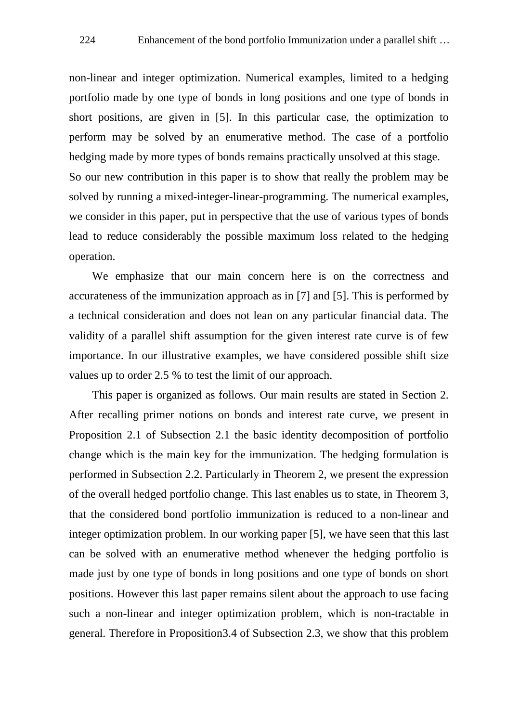non-linear and integer optimization. Numerical examples, limited to a hedging portfolio made by one type of bonds in long positions and one type of bonds in short positions, are given in [5]. In this particular case, the optimization to perform may be solved by an enumerative method. The case of a portfolio hedging made by more types of bonds remains practically unsolved at this stage. So our new contribution in this paper is to show that really the problem may be solved by running a mixed-integer-linear-programming. The numerical examples, we consider in this paper, put in perspective that the use of various types of bonds lead to reduce considerably the possible maximum loss related to the hedging operation.

We emphasize that our main concern here is on the correctness and accurateness of the immunization approach as in [7] and [5]. This is performed by a technical consideration and does not lean on any particular financial data. The validity of a parallel shift assumption for the given interest rate curve is of few importance. In our illustrative examples, we have considered possible shift size values up to order 2.5 % to test the limit of our approach.

This paper is organized as follows. Our main results are stated in Section 2. After recalling primer notions on bonds and interest rate curve, we present in Proposition 2.1 of Subsection 2.1 the basic identity decomposition of portfolio change which is the main key for the immunization. The hedging formulation is performed in Subsection 2.2. Particularly in Theorem 2, we present the expression of the overall hedged portfolio change. This last enables us to state, in Theorem 3, that the considered bond portfolio immunization is reduced to a non-linear and integer optimization problem. In our working paper [5], we have seen that this last can be solved with an enumerative method whenever the hedging portfolio is made just by one type of bonds in long positions and one type of bonds on short positions. However this last paper remains silent about the approach to use facing such a non-linear and integer optimization problem, which is non-tractable in general. Therefore in Proposition3.4 of Subsection 2.3, we show that this problem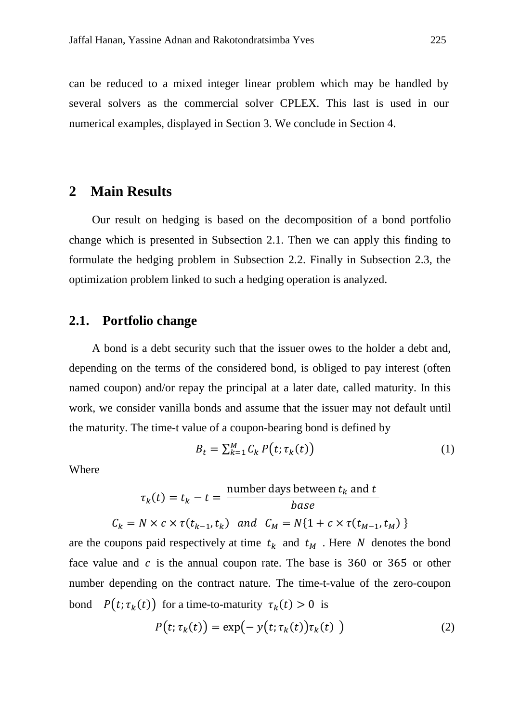can be reduced to a mixed integer linear problem which may be handled by several solvers as the commercial solver CPLEX. This last is used in our numerical examples, displayed in Section 3. We conclude in Section 4.

## **2 Main Results**

 Our result on hedging is based on the decomposition of a bond portfolio change which is presented in Subsection 2.1. Then we can apply this finding to formulate the hedging problem in Subsection 2.2. Finally in Subsection 2.3, the optimization problem linked to such a hedging operation is analyzed.

### **2.1. Portfolio change**

 A bond is a debt security such that the issuer owes to the holder a debt and, depending on the terms of the considered bond, is obliged to pay interest (often named coupon) and/or repay the principal at a later date, called maturity. In this work, we consider vanilla bonds and assume that the issuer may not default until the maturity. The time-t value of a coupon-bearing bond is defined by

$$
B_t = \sum_{k=1}^{M} C_k P(t; \tau_k(t))
$$
\n<sup>(1)</sup>

Where

$$
\tau_k(t) = t_k - t = \frac{\text{number days between } t_k \text{ and } t}{\text{base}}
$$

$$
C_k = N \times c \times \tau(t_{k-1}, t_k) \text{ and } C_M = N\{1 + c \times \tau(t_{M-1}, t_M)\}
$$

are the coupons paid respectively at time  $t_k$  and  $t_m$ . Here N denotes the bond face value and  $c$  is the annual coupon rate. The base is 360 or 365 or other number depending on the contract nature. The time-t-value of the zero-coupon bond  $P(t; \tau_k(t))$  for a time-to-maturity  $\tau_k(t) > 0$  is

$$
P(t; \tau_k(t)) = \exp(-y(t; \tau_k(t))\tau_k(t))
$$
\n(2)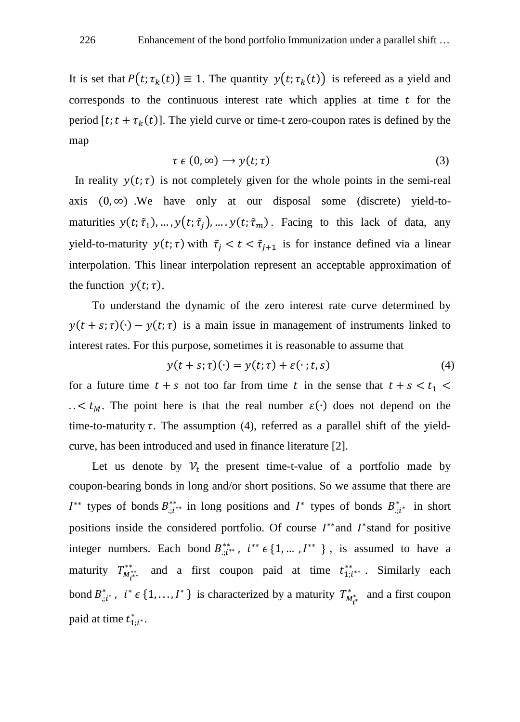It is set that  $P(t; \tau_k(t)) \equiv 1$ . The quantity  $y(t; \tau_k(t))$  is refereed as a yield and corresponds to the continuous interest rate which applies at time  $t$  for the period [t;  $t + \tau_k(t)$ ]. The yield curve or time-t zero-coupon rates is defined by the map

$$
\tau \in (0, \infty) \longrightarrow y(t; \tau) \tag{3}
$$

In reality  $y(t; \tau)$  is not completely given for the whole points in the semi-real axis  $(0, \infty)$  . We have only at our disposal some (discrete) yield-tomaturities  $y(t; \tilde{\tau}_1), ..., y(t; \tilde{\tau}_j), ..., y(t; \tilde{\tau}_m)$ . Facing to this lack of data, any yield-to-maturity  $y(t; \tau)$  with  $\tilde{\tau}_j < t < \tilde{\tau}_{j+1}$  is for instance defined via a linear interpolation. This linear interpolation represent an acceptable approximation of the function  $y(t; \tau)$ .

To understand the dynamic of the zero interest rate curve determined by  $y(t + s; \tau)(·) - y(t; \tau)$  is a main issue in management of instruments linked to interest rates. For this purpose, sometimes it is reasonable to assume that

$$
y(t+s;\tau)(\cdot) = y(t;\tau) + \varepsilon(\cdot;t,s) \tag{4}
$$

for a future time  $t + s$  not too far from time t in the sense that  $t + s < t_1$ ..  $lt k_M$ . The point here is that the real number  $\varepsilon(\cdot)$  does not depend on the time-to-maturity  $\tau$ . The assumption (4), referred as a parallel shift of the yieldcurve, has been introduced and used in finance literature [2].

Let us denote by  $V_t$  the present time-t-value of a portfolio made by coupon-bearing bonds in long and/or short positions. So we assume that there are  $I^{**}$  types of bonds  $B_{:,i^{**}}^{**}$  in long positions and  $I^*$  types of bonds  $B_{:,i^{*}}^{*}$  in short positions inside the considered portfolio. Of course  $I^{**}$  and  $I^*$  stand for positive integer numbers. Each bond  $B_{i,i^{**}}^{**}$ ,  $i^{**} \in \{1, ..., I^{**}\}\$ , is assumed to have a maturity  $T^{**}_{M^{***}_{l}}$  and a first coupon paid at time  $t^{**}_{1,i^{**}}$ . Similarly each bond  $B_{:,i^*}^*$ ,  $i^* \in \{1, ..., I^*\}$  is characterized by a maturity  $T_{M_{i^*}^*}^*$  and a first coupon paid at time  $t_{1:i^*}^*$ .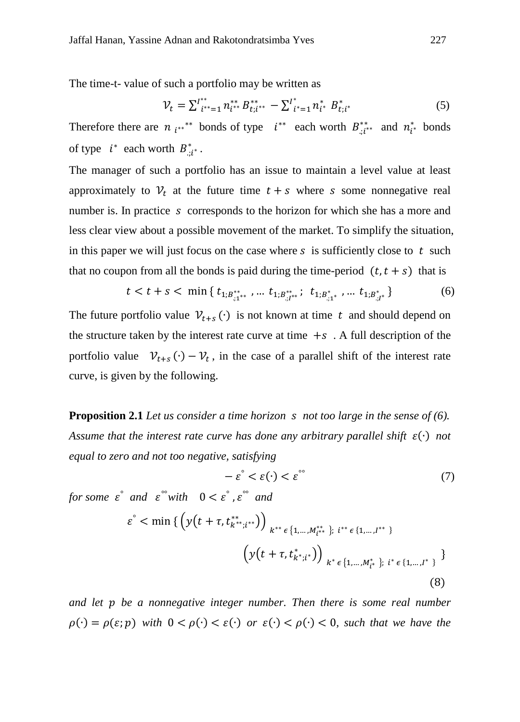The time-t- value of such a portfolio may be written as

$$
\mathcal{V}_t = \sum_{i^{**}=1}^{t^{**}} n_{i^{**}}^{**} B_{t;i^{**}}^{**} - \sum_{i^{*}=1}^{t^{*}} n_{i^{*}}^{**} B_{t;i^{*}}^{*} \tag{5}
$$

Therefore there are  $n_{i^{**}}$  bonds of type  $i^{**}$  each worth  $B_{i,i^{**}}$  and  $n_{i^{*}}$  bonds of type  $i^*$  each worth  $B_{\cdot i i^*}^*$ .

The manager of such a portfolio has an issue to maintain a level value at least approximately to  $V_t$  at the future time  $t + s$  where s some nonnegative real number is. In practice s corresponds to the horizon for which she has a more and less clear view about a possible movement of the market. To simplify the situation, in this paper we will just focus on the case where  $s$  is sufficiently close to  $t$  such that no coupon from all the bonds is paid during the time-period  $(t, t + s)$  that is

$$
t < t + s < \min\left\{t_{1;B^{**}_{;1^{**}}}, \dots, t_{1;B^{**}_{;I^{**}}}; \ t_{1;B^{**}_{;1^{**}}}, \dots, t_{1;B^{**}_{;I^{*}}}\right\} \tag{6}
$$

The future portfolio value  $\mathcal{V}_{t+s}(\cdot)$  is not known at time t and should depend on the structure taken by the interest rate curve at time  $+s$ . A full description of the portfolio value  $v_{t+s}(\cdot) - v_t$ , in the case of a parallel shift of the interest rate curve, is given by the following.

**Proposition 2.1** *Let us consider a time horizon not too large in the sense of (6). Assume that the interest rate curve has done any arbitrary parallel shift* (∙) *not equal to zero and not too negative, satisfying*

$$
-\varepsilon^{\circ} < \varepsilon(\cdot) < \varepsilon^{\circ\circ} \tag{7}
$$

*for some*  $\varepsilon$ <sup> $\degree$ </sup> *and*  $\varepsilon$ <sup> $\degree$ </sup>*with*  $0 < \varepsilon$  $\degree$ *,*  $\varepsilon$  $\degree$  *and* 

$$
\varepsilon^{\circ} < \min \left\{ \left( y(t + \tau, t_{k^{**};i^{**}}^{**}) \right)_{k^{**} \in \{1, \dots, M_{i^{**}}^{**} \}; i^{**} \in \{1, \dots, I^{**} \}} \right\}
$$
\n
$$
\left( y(t + \tau, t_{k^{*};i^{*}}^{*}) \right)_{k^{*} \in \{1, \dots, M_{i^{*}}^{*} \}; i^{*} \in \{1, \dots, I^{*} \}} \tag{8}
$$

*and let be a nonnegative integer number. Then there is some real number*  $\rho(\cdot) = \rho(\varepsilon; p)$  with  $0 < \rho(\cdot) < \varepsilon(\cdot)$  or  $\varepsilon(\cdot) < \rho(\cdot) < 0$ , such that we have the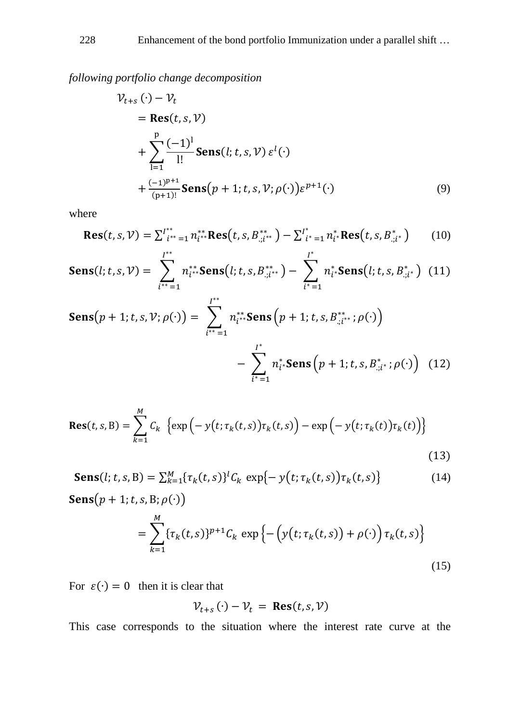*following portfolio change decomposition*

$$
\mathcal{V}_{t+s}(\cdot) - \mathcal{V}_t
$$
  
= Res(t, s, V)  
+ 
$$
\sum_{l=1}^p \frac{(-1)^l}{l!} \text{Sens}(l; t, s, V) \varepsilon^l(\cdot)
$$
  
+ 
$$
\frac{(-1)^{p+1}}{(p+1)!} \text{Sens}(p+1; t, s, V; \rho(\cdot)) \varepsilon^{p+1}(\cdot)
$$
 (9)

where

$$
\text{Res}(t, s, \mathcal{V}) = \sum_{i^{**} = 1}^{t^{**}} n_{i^{**}}^{**} \text{Res}(t, s, B_{:, i^{**}}^{**}) - \sum_{i^{*} = 1}^{t^{*}} n_{i^{*}}^{*} \text{Res}(t, s, B_{:, i^{*}}^{*})
$$
(10)

$$
\mathbf{Sens}(l; t, s, \mathcal{V}) = \sum_{i^{**}=1}^{I^{**}} n_{i^{**}}^{**} \mathbf{Sens}(l; t, s, B_{:,i^{**}}^{**}) - \sum_{i^{*}=1}^{I^{*}} n_{i^{*}}^{*} \mathbf{Sens}(l; t, s, B_{:,i^{*}}^{*}) \tag{11}
$$

$$
\text{Sens}(p+1; t, s, \mathcal{V}; \rho(\cdot)) = \sum_{i^{**}=1}^{I^{**}} n_{i^{**}}^{**} \text{Sens}\left(p+1; t, s, B_{:,i^{**}}^{**}; \rho(\cdot)\right)
$$

$$
-\sum_{i^{*}=1}^{I^{*}} n_{i^{*}}^{*} \text{Sens}\left(p+1; t, s, B_{:,i^{*}}^{*}; \rho(\cdot)\right) \tag{12}
$$

$$
\text{Res}(t,s,B) = \sum_{k=1}^{M} C_k \left\{ \exp\left(-y(t;\tau_k(t,s))\tau_k(t,s)\right) - \exp\left(-y(t;\tau_k(t))\tau_k(t)\right) \right\}
$$
(13)

Sens(*l*; *t*, *s*, B) = 
$$
\sum_{k=1}^{M} {\{\tau_k(t, s)\}}^l C_k \exp{-y(t; \tau_k(t, s))} \tau_k(t, s)
$$
 (14)  
Sens(*p* + 1; *t*, *s*, B;  $\rho(\cdot)$ )

$$
= \sum_{k=1}^{M} \{\tau_k(t,s)\}^{p+1} C_k \exp \left\{ -\left(y(t;\tau_k(t,s)) + \rho(\cdot)\right) \tau_k(t,s)\right\}
$$
\n(15)

For  $\varepsilon(\cdot) = 0$  then it is clear that

$$
\mathcal{V}_{t+s}(\cdot) - \mathcal{V}_t = \text{Res}(t, s, \mathcal{V})
$$

This case corresponds to the situation where the interest rate curve at the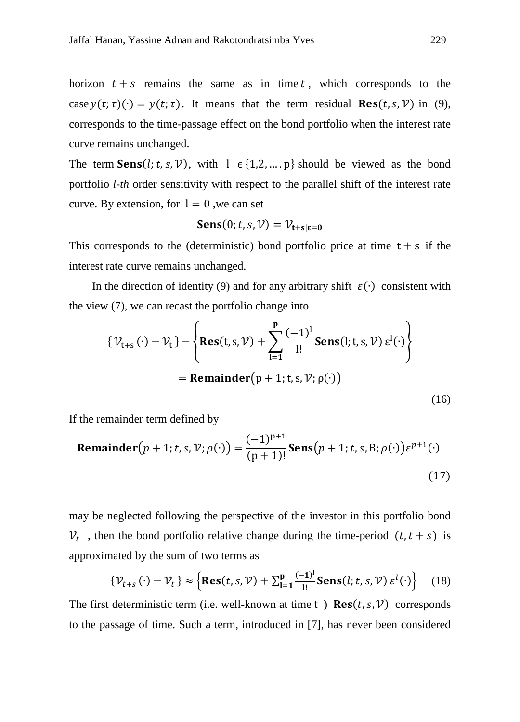horizon  $t + s$  remains the same as in time t, which corresponds to the case  $y(t; \tau)(\cdot) = y(t; \tau)$ . It means that the term residual  $\text{Res}(t, s, \mathcal{V})$  in (9), corresponds to the time-passage effect on the bond portfolio when the interest rate curve remains unchanged.

The term **Sens** $(l; t, s, V)$ , with  $l \in \{1, 2, ..., p\}$  should be viewed as the bond portfolio *l-th* order sensitivity with respect to the parallel shift of the interest rate curve. By extension, for  $l = 0$ , we can set

$$
\mathbf{Sens}(0; t, s, \mathcal{V}) = \mathcal{V}_{\mathbf{t} + \mathbf{s}|\mathbf{\varepsilon} = \mathbf{0}}
$$

This corresponds to the (deterministic) bond portfolio price at time  $t + s$  if the interest rate curve remains unchanged.

In the direction of identity (9) and for any arbitrary shift  $\varepsilon(\cdot)$  consistent with the view (7), we can recast the portfolio change into

$$
\{\mathcal{V}_{t+s}(\cdot) - \mathcal{V}_t\} - \left\{ \text{Res}(t, s, \mathcal{V}) + \sum_{l=1}^p \frac{(-1)^l}{l!} \text{Sens}(l; t, s, \mathcal{V}) \varepsilon^l(\cdot) \right\}
$$
  
= Remainder(p + 1; t, s, \mathcal{V}; \rho(\cdot)) (16)

If the remainder term defined by

**Remainder**
$$
(p + 1; t, s, \mathcal{V}; \rho(\cdot)) = \frac{(-1)^{p+1}}{(p+1)!}
$$
**Sens** $(p + 1; t, s, B; \rho(\cdot)) \varepsilon^{p+1}(\cdot)$  (17)

may be neglected following the perspective of the investor in this portfolio bond  $V_t$ , then the bond portfolio relative change during the time-period  $(t, t + s)$  is approximated by the sum of two terms as

$$
\{\mathcal{V}_{t+s}(\cdot) - \mathcal{V}_t\} \approx \left\{ \text{Res}(t,s,\mathcal{V}) + \sum_{l=1}^p \frac{(-1)^l}{l!} \text{Sens}(l;t,s,\mathcal{V}) \,\varepsilon^l(\cdot) \right\} \tag{18}
$$

The first deterministic term (i.e. well-known at time t)  $\text{Res}(t, s, \mathcal{V})$  corresponds to the passage of time. Such a term, introduced in [7], has never been considered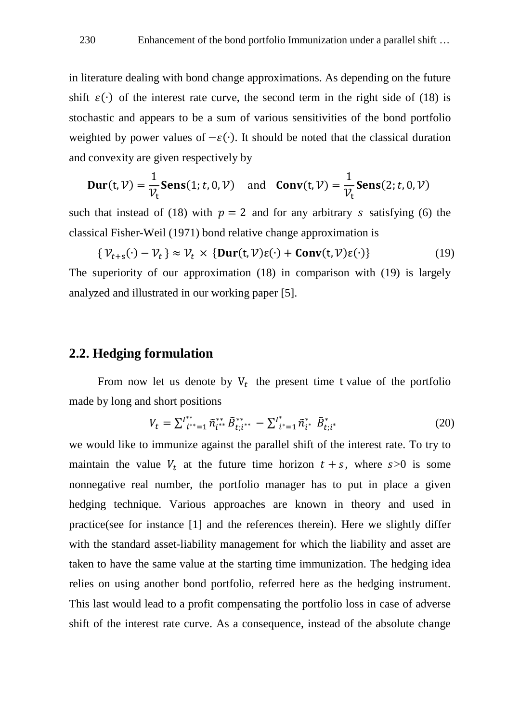in literature dealing with bond change approximations. As depending on the future shift  $\varepsilon(\cdot)$  of the interest rate curve, the second term in the right side of (18) is stochastic and appears to be a sum of various sensitivities of the bond portfolio weighted by power values of  $-\varepsilon(\cdot)$ . It should be noted that the classical duration and convexity are given respectively by

$$
\mathbf{Dur}(t, \mathcal{V}) = \frac{1}{\mathcal{V}_t} \mathbf{Sens}(1; t, 0, \mathcal{V}) \quad \text{and} \quad \mathbf{Conv}(t, \mathcal{V}) = \frac{1}{\mathcal{V}_t} \mathbf{Sens}(2; t, 0, \mathcal{V})
$$

such that instead of (18) with  $p = 2$  and for any arbitrary s satisfying (6) the classical Fisher-Weil (1971) bond relative change approximation is

$$
\{\mathcal{V}_{t+s}(\cdot) - \mathcal{V}_t\} \approx \mathcal{V}_t \times \{\text{Dur}(t, \mathcal{V})\varepsilon(\cdot) + \text{Conv}(t, \mathcal{V})\varepsilon(\cdot)\}\
$$
\nThe \text{superiority of our approximation (18) in comparison with (19) is largely analyzed and illustrated in our working paper [5]. (19)

### **2.2. Hedging formulation**

From now let us denote by  $V_t$  the present time t value of the portfolio made by long and short positions

$$
V_t = \sum_{i^{**}=1}^{I^{**}} \tilde{n}_{i^{**}}^{**} \tilde{B}_{t;i^{**}}^{**} - \sum_{i^{*}=1}^{I^{*}} \tilde{n}_{i^{*}}^{*} \tilde{B}_{t;i^{*}}^{*}
$$
(20)

we would like to immunize against the parallel shift of the interest rate. To try to maintain the value  $V_t$  at the future time horizon  $t + s$ , where  $s > 0$  is some nonnegative real number, the portfolio manager has to put in place a given hedging technique. Various approaches are known in theory and used in practice(see for instance [1] and the references therein). Here we slightly differ with the standard asset-liability management for which the liability and asset are taken to have the same value at the starting time immunization. The hedging idea relies on using another bond portfolio, referred here as the hedging instrument. This last would lead to a profit compensating the portfolio loss in case of adverse shift of the interest rate curve. As a consequence, instead of the absolute change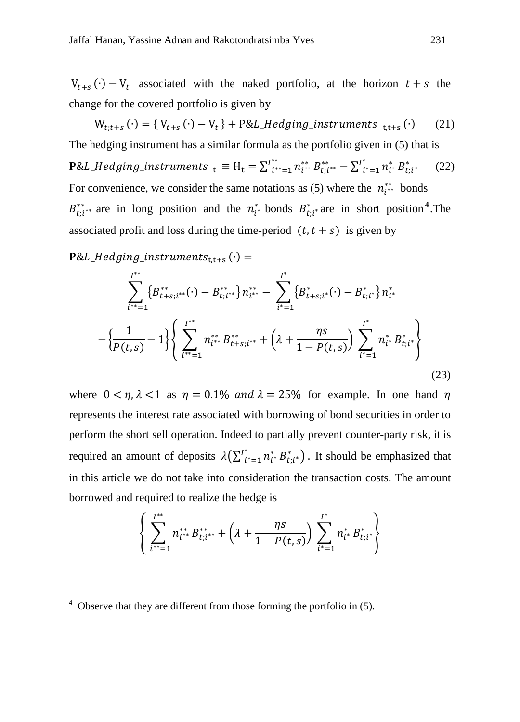$V_{t+s}(\cdot) - V_t$  associated with the naked portfolio, at the horizon  $t+s$  the change for the covered portfolio is given by

 $W_{t,t+s}(\cdot) = \{V_{t+s}(\cdot) - V_t\} + P\&L_Hedging\_instruments_{t,t+s}(\cdot)$  (21) The hedging instrument has a similar formula as the portfolio given in (5) that is **P**&L\_Hedging\_instruments  $_t \equiv H_t = \sum_{i^{**}=1}^{I^{**}} n_{i^{**}}^* B_{t;i^{**}}^* - \sum_{i^{*}=1}^{I^{*}} n_{i^{*}}^* B_{t;i^{*}}^*$  (22) For convenience, we consider the same notations as (5) where the  $n_{i^{**}}^{**}$  bonds  $B_{t;i^{**}}^{**}$  are in long position and the  $n_i^*$  bonds  $B_{t;i^*}^{*}$  are in short position<sup>[4](#page-10-0)</sup>. The associated profit and loss during the time-period  $(t, t + s)$  is given by

 $P&L_Hedging_instruments_{t,t+s} (·)=$ 

<u>.</u>

$$
\sum_{i^{**}=1}^{I^{**}} \{B_{t+s;i^{**}}^{**}(\cdot) - B_{t;i^{**}}^{**}\} n_{i^{**}}^{**} - \sum_{i^{*}=1}^{I^{*}} \{B_{t+s;i^{*}}^{*}(\cdot) - B_{t;i^{*}}^{*}\} n_{i^{*}}^{*} - \left\{\frac{1}{P(t,s)} - 1\right\} \left\{\sum_{i^{**}=1}^{I^{**}} n_{i^{**}}^{**} B_{t+s;i^{**}}^{**} + \left(\lambda + \frac{\eta s}{1 - P(t,s)}\right) \sum_{i^{*}=1}^{I^{*}} n_{i^{*}}^{*} B_{t;i^{*}}^{*}\right\}
$$
\n(23)

where  $0 < \eta, \lambda < 1$  as  $\eta = 0.1\%$  and  $\lambda = 25\%$  for example. In one hand  $\eta$ represents the interest rate associated with borrowing of bond securities in order to perform the short sell operation. Indeed to partially prevent counter-party risk, it is required an amount of deposits  $\lambda(\sum_{i=1}^{i^*} n_{i^*}^* B_{t,i^*}^*)$ . It should be emphasized that in this article we do not take into consideration the transaction costs. The amount borrowed and required to realize the hedge is

$$
\left\{\sum_{i^{**}=1}^{I^{**}} n_{i^{**}}^{**} B_{t;i^{**}}^{**} + \left(\lambda + \frac{\eta s}{1 - P(t,s)}\right) \sum_{i^{*}=1}^{I^{*}} n_{i^{*}}^{*} B_{t;i^{*}}^{*}\right\}
$$

<span id="page-10-0"></span> $4$  Observe that they are different from those forming the portfolio in (5).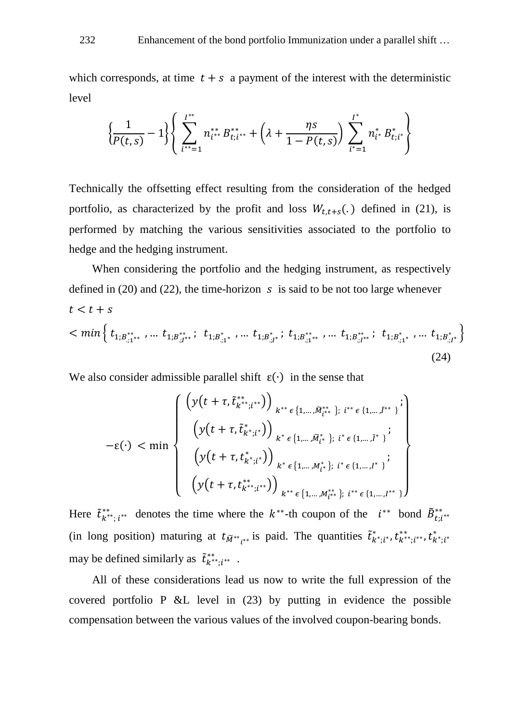which corresponds, at time  $t + s$  a payment of the interest with the deterministic level

$$
\left\{\frac{1}{P(t,s)}-1\right\} \left\{\sum_{i^{**}=1}^{I^{**}} n_{i^{**}}^{**} B_{t,i^{**}}^{**} + \left(\lambda + \frac{\eta s}{1-P(t,s)}\right) \sum_{i^{*}=1}^{I^{*}} n_{i^{*}}^{*} B_{t,i^{*}}^{*}\right\}
$$

Technically the offsetting effect resulting from the consideration of the hedged portfolio, as characterized by the profit and loss  $W_{t,t+s}$ .) defined in (21), is performed by matching the various sensitivities associated to the portfolio to hedge and the hedging instrument.

When considering the portfolio and the hedging instrument, as respectively defined in (20) and (22), the time-horizon  $\,s\,$  is said to be not too large whenever  $t < t + s$  $m^{\{t_{1,B^{**}_{.1}*\}}$  , …  $t_{1,B^{**}_{.1}'}$ ;  $t_{1,B^{**}_{.1}'}$  , …  $t_{1,B^{**}_{.1}'}$ ;  $t_{1,B^{**}_{.1}'}$  , …  $t_{1,B^{**}_{.1}'}$  , …  $t_{1,B^{**}_{.1}'}$ (24)

We also consider admissible parallel shift  $\varepsilon(\cdot)$  in the sense that

$$
-\varepsilon(\cdot) < \min \left\{ \begin{array}{c} \left(y(t+\tau,\tilde{t}_{k^{**},i^{**}}^{**})\right)_{k^{**}\epsilon\{1,\ldots,\tilde{M}_{i^{**}}^{**}\};\;i^{**}\epsilon\{1,\ldots,\tilde{I}^{**}\}^{\mathbf{i}}\right\} \\ \left(y(t+\tau,\tilde{t}_{k^{*},i^{*}}^{*})\right)_{k^{*}\epsilon\{1,\ldots,\tilde{M}_{i^{*}}^{*}\};\;i^{*}\epsilon\{1,\ldots,\tilde{I}^{*}\}^{\mathbf{i}} \\ \left(y(t+\tau,t_{k^{*},i^{*}}^{*})\right)_{k^{*}\epsilon\{1,\ldots,\tilde{M}_{i^{*}}^{*}\};\;i^{*}\epsilon\{1,\ldots,\tilde{I}^{*}\}^{\mathbf{i}} \\ \left(y(t+\tau,t_{k^{**},i^{**}}^{**})\right)_{k^{**}\epsilon\{1,\ldots,\tilde{M}_{i^{**}}^{**}\};\;i^{**}\epsilon\{1,\ldots,\tilde{I}^{**}\}^{\mathbf{j}} \end{array} \right\}
$$

Here  $\tilde{t}_{k^{**};i^{**}}^{**}$  denotes the time where the  $k^{**}$ -th coupon of the  $i^{**}$  bond  $\tilde{B}_{t,i^{**}}^{**}$ (in long position) maturing at  $t_{\tilde{M}^{**}{}_{i^{**}}}$  is paid. The quantities  $\tilde{t}_{k^*;i^*}^*, t_{k^*;i^*}^*, t_{k^*;i^*}^*, t_{k^*;i^*}^*$ may be defined similarly as  $\tilde{t}_{k^{**};i^{**}}^{**}$ .

All of these considerations lead us now to write the full expression of the covered portfolio P &L level in (23) by putting in evidence the possible compensation between the various values of the involved coupon-bearing bonds.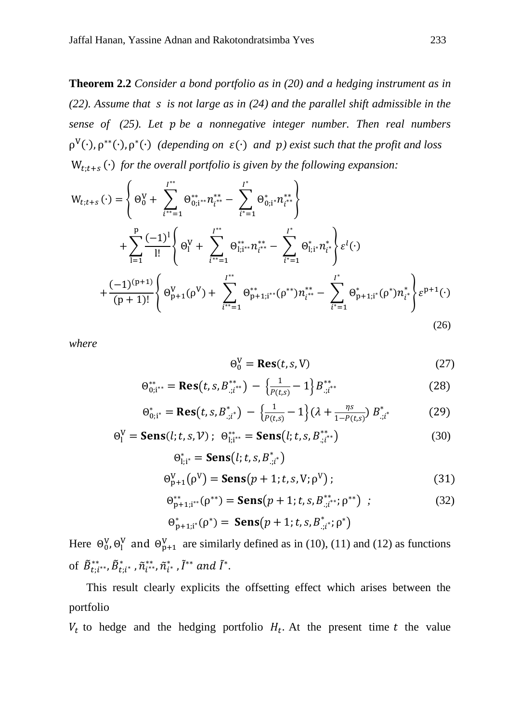**Theorem 2.2** *Consider a bond portfolio as in (20) and a hedging instrument as in (22). Assume that is not large as in (24) and the parallel shift admissible in the sense of (25). Let be a nonnegative integer number. Then real numbers*  $ρ<sup>V</sup>(·), ρ<sup>**</sup>(·), ρ<sup>*(·)</sup>$  *(depending on*  $ε(·)$  *and*  $p$ *) exist such that the profit and loss* W;+ (∙) *for the overall portfolio is given by the following expansion:*

$$
W_{t;t+s}(\cdot) = \begin{cases} \Theta_0^V + \sum_{i^{**}=1}^{I^{**}} \Theta_{0;i^{**}}^{**} n_{i^{**}}^{**} - \sum_{i^{*}=1}^{I^{*}} \Theta_{0;i^{*}}^{*} n_{i^{**}}^{**} \\ + \sum_{i=1}^{P} \frac{(-1)^i}{i!} \left\{ \Theta_i^V + \sum_{i^{**}=1}^{I^{**}} \Theta_{1;i^{**}}^{**} n_{i^{**}}^{**} - \sum_{i^{*}=1}^{I^{*}} \Theta_{1;i^{*}}^{*} n_{i^{*}}^{*} \right\} \varepsilon^l(\cdot) \\ + \frac{(-1)^{(p+1)}}{(p+1)!} \left\{ \Theta_{p+1}^V(\rho^V) + \sum_{i^{**}=1}^{I^{**}} \Theta_{p+1;i^{**}}^{*}(\rho^{**}) n_{i^{**}}^{**} - \sum_{i^{*}=1}^{I^{*}} \Theta_{p+1;i^{*}}^{*}(\rho^{*}) n_{i^{*}}^{*} \right\} \varepsilon^{p+1}(\cdot) \end{cases}
$$
(26)

*where*

$$
\Theta_0^V = \text{Res}(t, s, V) \tag{27}
$$

$$
\Theta_{0;i^{**}}^{**} = \text{Res}(t, s, B_{:,i^{**}}^{**}) - \left\{\frac{1}{P(t,s)} - 1\right\} B_{:,i^{**}}^{**}
$$
(28)

$$
\Theta_{0;i^*}^* = \text{Res}(t, s, B_{:,i^*}^*) - \left\{\frac{1}{P(t,s)} - 1\right\} (\lambda + \frac{\eta s}{1 - P(t,s)}) B_{:,i^*}^* \tag{29}
$$

$$
\Theta_{l}^{V} = \mathbf{Sens}(l; t, s, V); \ \Theta_{l; i^{**}}^{**} = \mathbf{Sens}(l; t, s, B_{i; i^{**}}^{**})
$$
(30)

$$
\Theta_{1,i^*}^* = \mathbf{Sens}(l; t, s, B_{:,i^*}^*)
$$
  
\n
$$
\Theta_{p+1}^V(\rho^V) = \mathbf{Sens}(p+1; t, s, V; \rho^V);
$$
\n(31)

$$
\Theta_{p+1;i^{**}}^{**}(\rho^{**}) = \mathbf{Sens}(p+1;t,s,B_{;i^{**}}^{**};\rho^{**}) ; \qquad (32)
$$

$$
\Theta_{p+1;i}^*(\rho^*) = \text{Sens}(p+1;t,s,B_{:,i^*}^*;\rho^*)
$$

Here  $\Theta_0^V$ ,  $\Theta_1^V$  and  $\Theta_{p+1}^V$  are similarly defined as in (10), (11) and (12) as functions of  $\tilde{B}^{**}_{t;i^{**}}, \tilde{B}^{*}_{t;i^{*}}$  ,  $\tilde{n}^{**}_{i^{**}}, \tilde{n}^{*}_{i^{*}}$  ,  $\tilde{l}^{**}$  and  $\tilde{l}^{*}$ .

 This result clearly explicits the offsetting effect which arises between the portfolio

 $V_t$  to hedge and the hedging portfolio  $H_t$ . At the present time t the value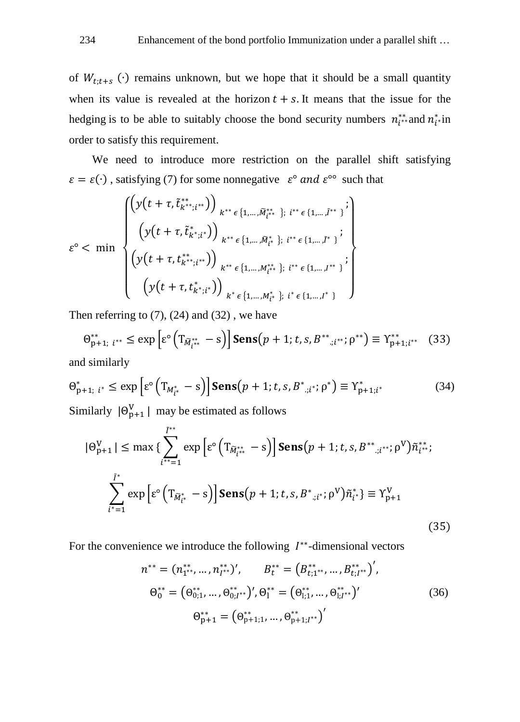of  $W_{t,t+s}$  (∙) remains unknown, but we hope that it should be a small quantity when its value is revealed at the horizon  $t + s$ . It means that the issue for the hedging is to be able to suitably choose the bond security numbers  $n_{i^{**}}^{**}$  and  $n_{i^{*}}^{**}$  in order to satisfy this requirement.

We need to introduce more restriction on the parallel shift satisfying  $\varepsilon = \varepsilon(\cdot)$ , satisfying (7) for some nonnegative  $\varepsilon^{\circ}$  and  $\varepsilon^{\circ\circ}$  such that

$$
\varepsilon^{\circ} < \min \left\{ \begin{array}{l} \left(y(t+\tau,\tilde{t}_{k^{**};i^{**}}^{**})\right)_{k^{**}\epsilon\{1,\ldots,\tilde{M}_{l^{**}}^{**}\};\;i^{**}\epsilon\{1,\ldots,\tilde{J}^{**}\}}^{*} \right\} \\ \left(y(t+\tau,\tilde{t}_{k^{*};i^{*}}^{*})\right)_{k^{**}\epsilon\{1,\ldots,\tilde{M}_{l^{*}}^{*}\};\;i^{**}\epsilon\{1,\ldots,\tilde{J}^{*}\}}^{*}; \\ \left(y(t+\tau,t_{k^{**};i^{**}}^{**})\right)_{k^{**}\epsilon\{1,\ldots,M_{l^{**}}^{**}\};\;i^{**}\epsilon\{1,\ldots,J^{**}\}}^{*}; \\ \left(y(t+\tau,t_{k^{*};i^{*}}^{*})\right)_{k^{*}\epsilon\{1,\ldots,M_{l^{*}}^{*}\}}^{*};\;i^{*}\epsilon\{1,\ldots,J^{*}\}} \end{array} \right\}
$$

Then referring to  $(7)$ ,  $(24)$  and  $(32)$ , we have

$$
\Theta_{p+1;\;i^{**}}^{**} \le \exp\left[\varepsilon^{\circ}\left(T_{\tilde{M}_{i^{**}}^{**}} - s\right)\right] \mathbf{Sens}(p+1; t, s, B^{**}; i^{**}; \rho^{**}) \equiv \Upsilon_{p+1;i^{**}}^{**} \quad (33)
$$
  
and similarly

$$
\Theta_{p+1; i^*}^* \le \exp\left[\varepsilon^{\circ} \left(T_{M_{i^*}^*} - s\right)\right] \mathbf{Sens}(p+1; t, s, B^*_{:, i^*}; \rho^*) \equiv \Upsilon_{p+1; i^*}^* \tag{34}
$$

Similarly  $|\Theta_{p+1}^V|$  may be estimated as follows

$$
|\Theta_{p+1}^{V}| \le \max \left\{ \sum_{i^{**}=1}^{I^{**}} \exp \left[ \varepsilon^{\circ} \left( T_{\tilde{M}_{i^{**}}^{**}} - s \right) \right] \mathbf{Sens}(p+1; t, s, B^{**}; i^{**}; \rho^{V}) \tilde{n}_{i^{**}}^{**};
$$
\n
$$
\sum_{i^{*}=1}^{I^{*}} \exp \left[ \varepsilon^{\circ} \left( T_{\tilde{M}_{i^{*}}}^{*} - s \right) \right] \mathbf{Sens}(p+1; t, s, B^{*}; i^{*}; \rho^{V}) \tilde{n}_{i^{*}}^{*} \right\} \equiv Y_{p+1}^{V}
$$
\n(35)

For the convenience we introduce the following  $I^{**}$ -dimensional vectors

$$
n^{**} = (n_{1^{**}}^{**}, \dots, n_{I^{**}}^{**})', \qquad B_t^{**} = (B_{t;1^{**}}^{**}, \dots, B_{t;I^{**}}^{**})',
$$
  
\n
$$
\Theta_0^{**} = (\Theta_{0;1}^{**}, \dots, \Theta_{0;I^{**}}^{**})', \Theta_1^{**} = (\Theta_{1;1}^{**}, \dots, \Theta_{1;I^{**}}^{**})'
$$
  
\n
$$
\Theta_{p+1}^{**} = (\Theta_{p+1;1}^{**}, \dots, \Theta_{p+1;I^{**}}^{**})'
$$
\n(36)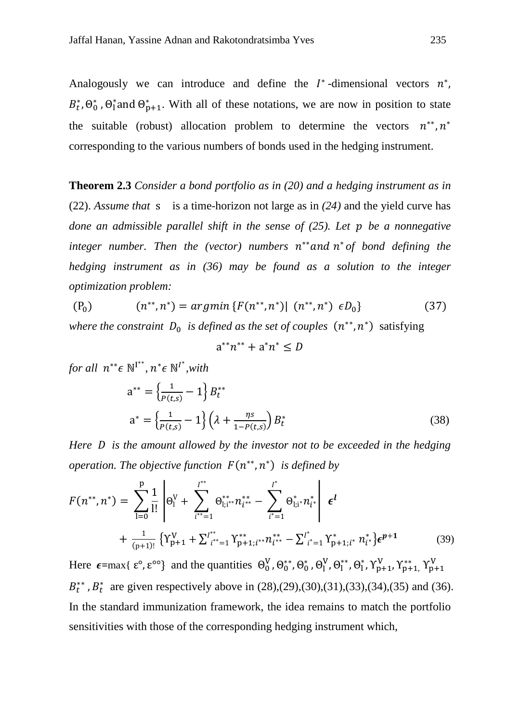Analogously we can introduce and define the  $\ell^*$ -dimensional vectors  $n^*$ ,  $B_t^*$ ,  $\Theta_0^*$ ,  $\Theta_1^*$  and  $\Theta_{p+1}^*$ . With all of these notations, we are now in position to state the suitable (robust) allocation problem to determine the vectors  $n^{**}, n^*$ corresponding to the various numbers of bonds used in the hedging instrument.

**Theorem 2.3** *Consider a bond portfolio as in (20) and a hedging instrument as in*  (22). *Assume that* s is a time-horizon not large as in *(24)* and the yield curve has *done an admissible parallel shift in the sense of (25). Let be a nonnegative integer number. Then the (vector) numbers*  $n^{**}$  *and*  $n^*$  *of bond defining the hedging instrument as in (36) may be found as a solution to the integer optimization problem:*

$$
(P_0) \t\t (n^{**}, n^*) = argmin \{ F(n^{**}, n^*) | (n^{**}, n^*) \epsilon D_0 \}
$$
\t(37)

*where the constraint*  $D_0$  *is defined as the set of couples*  $(n^{**}, n^*)$  satisfying

$$
a^{**}n^{**}+a^*n^* \leq D
$$

*for all*  $n^{**} \in \mathbb{N}^{I^{**}}, n^* \in \mathbb{N}^{I^{*}}, with$ 

$$
a^{**} = \left\{ \frac{1}{P(t,s)} - 1 \right\} B_t^{**}
$$
  

$$
a^* = \left\{ \frac{1}{P(t,s)} - 1 \right\} \left( \lambda + \frac{\eta s}{1 - P(t,s)} \right) B_t^*
$$
 (38)

*Here is the amount allowed by the investor not to be exceeded in the hedging operation. The objective function*  $F(n^{**}, n^*)$  *is defined by* 

$$
F(n^{**}, n^*) = \sum_{l=0}^{p} \frac{1}{l!} \left| \Theta_l^V + \sum_{i^{**}=1}^{I^{**}} \Theta_{l;i^{**}}^{**} n_{i^{**}}^{**} - \sum_{i^{*}=1}^{I^{*}} \Theta_{l;i^{*}}^{*} n_{i^{*}}^{**} \right| \epsilon^{l}
$$
  
+ 
$$
\frac{1}{(p+1)!} \left\{ Y_{p+1}^V + \sum_{i^{**}=1}^{I^{**}} Y_{p+1;i^{**}}^{**} n_{i^{**}}^{**} - \sum_{i^{*}=1}^{I^{*}} Y_{p+1;i^{*}}^{*} n_{i^{*}}^{*} \right\} \epsilon^{p+1}
$$
(39)

Here  $\epsilon = \max\{\epsilon^{\circ}, \epsilon^{\circ\circ}\}\$ and the quantities  $\Theta_0^V, \Theta_0^{**}, \Theta_0^*, \Theta_1^V, \Theta_1^{**}, \Theta_1^*, \gamma_{p+1}^V, \gamma_{p+1}^{**}, \gamma_{p+1}^V$  $B_t^{**}$ ,  $B_t^*$  are given respectively above in (28),(29),(30),(31),(33),(34),(35) and (36). In the standard immunization framework, the idea remains to match the portfolio sensitivities with those of the corresponding hedging instrument which,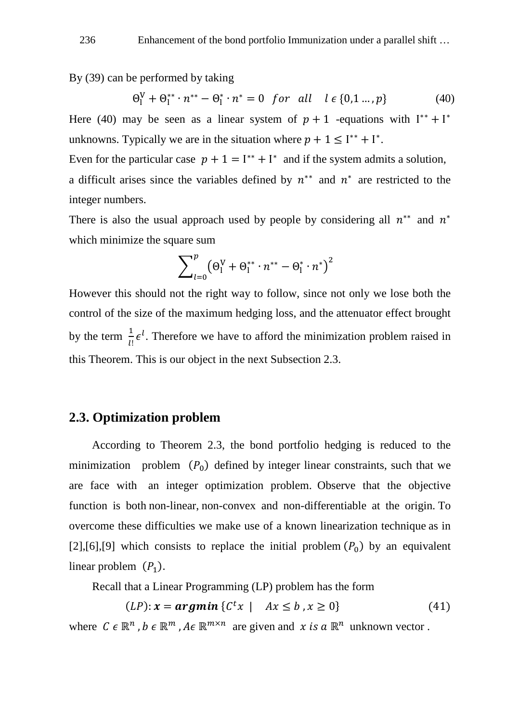By (39) can be performed by taking

$$
\Theta_1^V + \Theta_1^{**} \cdot n^{**} - \Theta_1^* \cdot n^* = 0 \quad \text{for all} \quad l \in \{0, 1 \dots, p\} \tag{40}
$$

Here (40) may be seen as a linear system of  $p + 1$  -equations with  $I^{**} + I^*$ unknowns. Typically we are in the situation where  $p + 1 \leq I^{**} + I^*$ .

Even for the particular case  $p + 1 = I^{**} + I^*$  and if the system admits a solution, a difficult arises since the variables defined by  $n^{**}$  and  $n^*$  are restricted to the integer numbers.

There is also the usual approach used by people by considering all  $n^{**}$  and  $n^*$ which minimize the square sum

$$
\sum\nolimits_{l=0}^{p} (\Theta_{l}^{V} + \Theta_{l}^{**} \cdot n^{**} - \Theta_{l}^{*} \cdot n^{*})^{2}
$$

However this should not the right way to follow, since not only we lose both the control of the size of the maximum hedging loss, and the attenuator effect brought by the term  $\frac{1}{l!} \epsilon^l$ . Therefore we have to afford the minimization problem raised in this Theorem. This is our object in the next Subsection 2.3.

#### **2.3. Optimization problem**

 According to Theorem 2.3, the bond portfolio hedging is reduced to the minimization problem  $(P_0)$  defined by integer linear constraints, such that we are face with an integer optimization problem. Observe that the objective function is both non-linear, non-convex and non-differentiable at the origin. To overcome these difficulties we make use of a known linearization technique as in [2],[6],[9] which consists to replace the initial problem  $(P_0)$  by an equivalent linear problem  $(P_1)$ .

Recall that a Linear Programming (LP) problem has the form

$$
(LP): \mathbf{x} = \mathbf{argmin} \left\{ C^t x \mid Ax \leq b, x \geq 0 \right\} \tag{41}
$$

where  $C \in \mathbb{R}^n$ ,  $b \in \mathbb{R}^m$ ,  $A \in \mathbb{R}^{m \times n}$  are given and  $x$  is  $a \mathbb{R}^n$  unknown vector.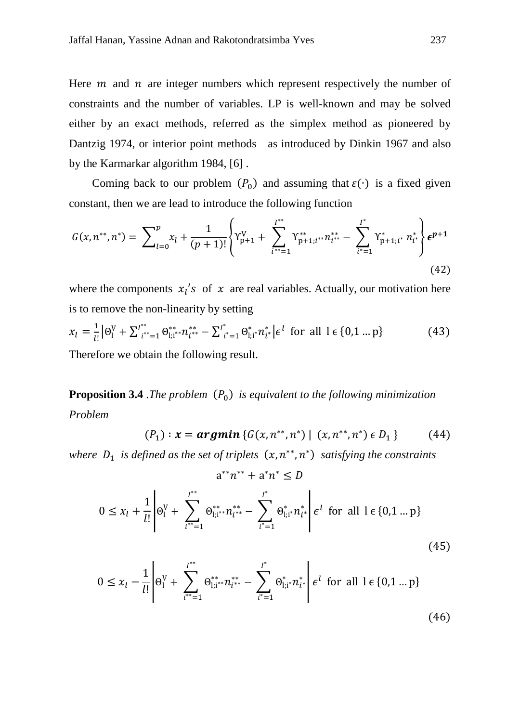Here  $m$  and  $n$  are integer numbers which represent respectively the number of constraints and the number of variables. LP is well-known and may be solved either by an exact methods, referred as the simplex method as pioneered by Dantzig 1974, or interior point methods as introduced by Dinkin 1967 and also by the Karmarkar algorithm 1984, [6] .

Coming back to our problem  $(P_0)$  and assuming that  $\varepsilon(\cdot)$  is a fixed given constant, then we are lead to introduce the following function

$$
G(x, n^{**}, n^*) = \sum_{l=0}^p x_l + \frac{1}{(p+1)!} \left\{ Y_{p+1}^V + \sum_{i^{**}=1}^{I^{**}} Y_{p+1;i^{**}}^{*n_{i^{**}}} - \sum_{i^{*}=1}^{I^{*}} Y_{p+1;i^{*}}^{*} n_{i^{*}}^{*} \right\} \epsilon^{p+1}
$$
\n(42)

where the components  $x_1$ 's of  $x$  are real variables. Actually, our motivation here is to remove the non-linearity by setting

$$
x_{l} = \frac{1}{l!} |\Theta_{l}^{V} + \sum_{i^{**}=1}^{l^{**}} \Theta_{l;i^{**}}^{**} n_{i^{**}}^{**} - \sum_{i^{*}=1}^{l^{*}} \Theta_{l;i^{*}}^{*} n_{i^{*}}^{*} | \epsilon^{l} \text{ for all } l \in \{0, 1 ... p\}
$$
(43)

Therefore we obtain the following result.

**Proposition 3.4** .*The problem*  $(P_0)$  *is equivalent to the following minimization Problem*

$$
(P_1): \mathbf{x} = \mathbf{argmin} \left\{ G(x, n^{**}, n^*) \mid (x, n^{**}, n^*) \in D_1 \right\} \tag{44}
$$

*where*  $D_1$  *is defined as the set of triplets*  $(x, n^{**}, n^*)$  *satisfying the constraints* 

 $i^* = 1$   $i^* = 1$ 

 $a^{**}n^{**} + a^{*}n^{*} \le D$ 

$$
0 \le x_l + \frac{1}{l!} \left| \Theta_l^V + \sum_{i^{**}=1}^{l^{**}} \Theta_{l;i^{**}}^{**} n_{i^{**}}^{**} - \sum_{i^{*}=1}^{l^{*}} \Theta_{l;i^{**}}^{*} n_{i^{*}}^{*} \right| \epsilon^l \text{ for all } l \in \{0, 1 \dots p\}
$$
  

$$
0 \le x_l - \frac{1}{l!} \left| \Theta_l^V + \sum_{i^{**}=1}^{l^{**}} \Theta_{l;i^{**}}^{**} n_{i^{**}}^{**} - \sum_{i^{**}=1}^{l^{*}} \Theta_{l;i^{**}}^{*} n_{i^{*}}^{*} \right| \epsilon^l \text{ for all } l \in \{0, 1 \dots p\}
$$
  
(45)

$$
(46)
$$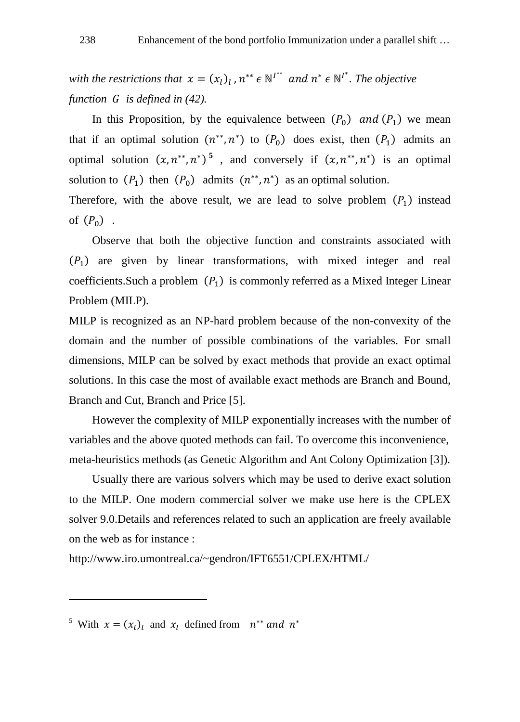*with the restrictions that*  $x = (x_l)_l$ ,  $n^{**} \in \mathbb{N}^{l^{**}}$  and  $n^* \in \mathbb{N}^{l^{*}}$ . The objective *function is defined in (42).*

In this Proposition, by the equivalence between  $(P_0)$  and  $(P_1)$  we mean that if an optimal solution  $(n^{**}, n^*)$  to  $(P_0)$  does exist, then  $(P_1)$  admits an optimal solution  $(x, n^{**}, n^*)^5$ , and conversely if  $(x, n^{**}, n^*)$  is an optimal solution to  $(P_1)$  then  $(P_0)$  admits  $(n^{**}, n^*)$  as an optimal solution. Therefore, with the above result, we are lead to solve problem  $(P_1)$  instead

of  $(P_0)$ .

<u>.</u>

Observe that both the objective function and constraints associated with  $(P_1)$  are given by linear transformations, with mixed integer and real coefficients. Such a problem  $(P_1)$  is commonly referred as a Mixed Integer Linear Problem (MILP).

MILP is recognized as an NP-hard problem because of the non-convexity of the domain and the number of possible combinations of the variables. For small dimensions, MILP can be solved by exact methods that provide an exact optimal solutions. In this case the most of available exact methods are Branch and Bound, Branch and Cut, Branch and Price [5].

However the complexity of MILP exponentially increases with the number of variables and the above quoted methods can fail. To overcome this inconvenience, meta-heuristics methods (as Genetic Algorithm and Ant Colony Optimization [3]).

Usually there are various solvers which may be used to derive exact solution to the MILP. One modern commercial solver we make use here is the CPLEX solver 9.0.Details and references related to such an application are freely available on the web as for instance :

<http://www.iro.umontreal.ca/~gendron/IFT6551/CPLEX/HTML/>

<sup>&</sup>lt;sup>5</sup> With  $x = (x_i)_i$  and  $x_i$  defined from  $n^{**}$  and  $n^*$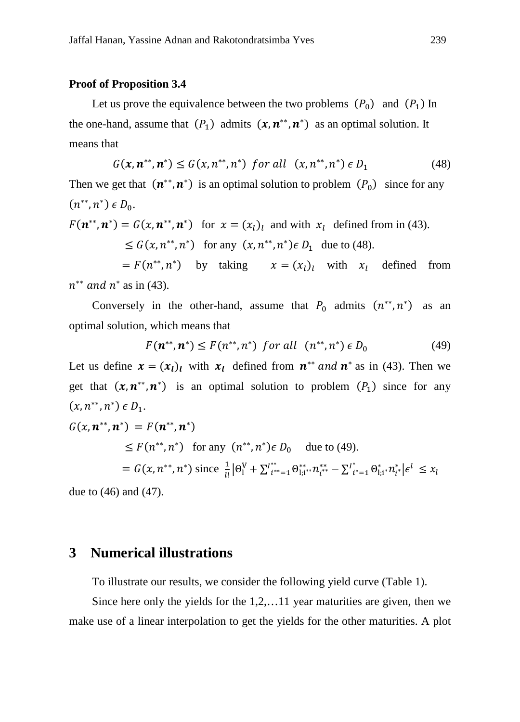#### **Proof of Proposition 3.4**

Let us prove the equivalence between the two problems  $(P_0)$  and  $(P_1)$  In the one-hand, assume that  $(P_1)$  admits  $(x, n^{**}, n^*)$  as an optimal solution. It means that

$$
G(x, n^{**}, n^*) \le G(x, n^{**}, n^*) \text{ for all } (x, n^{**}, n^*) \in D_1
$$
 (48)

Then we get that  $(n^{**}, n^*)$  is an optimal solution to problem  $(P_0)$  since for any  $(n^{**}, n^*) \in D_0$ .

 $F(\mathbf{n}^{**}, \mathbf{n}^*) = G(x, \mathbf{n}^{**}, \mathbf{n}^*)$  for  $x = (x_l)_l$  and with  $x_l$  defined from in (43).

$$
\leq G(x, n^{**}, n^*) \quad \text{for any } (x, n^{**}, n^*) \in D_1 \quad \text{due to (48)}.
$$

 $= F(n^{**}, n^*)$  by taking  $x = (x_l)_l$  with  $x_l$  defined from  $n^{**}$  and  $n^*$  as in (43).

Conversely in the other-hand, assume that  $P_0$  admits  $(n^{**}, n^*)$  as an optimal solution, which means that

$$
F(n^{**}, n^*) \le F(n^{**}, n^*) \text{ for all } (n^{**}, n^*) \in D_0 \tag{49}
$$

Let us define  $x = (x_l)_l$  with  $x_l$  defined from  $n^{**}$  and  $n^*$  as in (43). Then we get that  $(x, n^{**}, n^*)$  is an optimal solution to problem  $(P_1)$  since for any  $(x, n^{**}, n^*) \in D_1$ .

$$
G(x, n^{**}, n^*) = F(n^{**}, n^*)
$$
  
\n
$$
\leq F(n^{**}, n^*) \text{ for any } (n^{**}, n^*) \in D_0 \text{ due to (49).}
$$
  
\n
$$
= G(x, n^{**}, n^*) \text{ since } \frac{1}{l!} |\Theta_l^V + \sum_{i^{**}=1}^{l^{**}} \Theta_{l;i^{**}}^{**} n_{i^{**}}^{**} - \sum_{i^{*}=1}^{l^{*}} \Theta_{l;i^{*}}^{*} n_{i}^{*} | \epsilon^l \leq x_l
$$

due to (46) and (47).

# **3 Numerical illustrations**

To illustrate our results, we consider the following yield curve (Table 1).

 Since here only the yields for the 1,2,…11 year maturities are given, then we make use of a linear interpolation to get the yields for the other maturities. A plot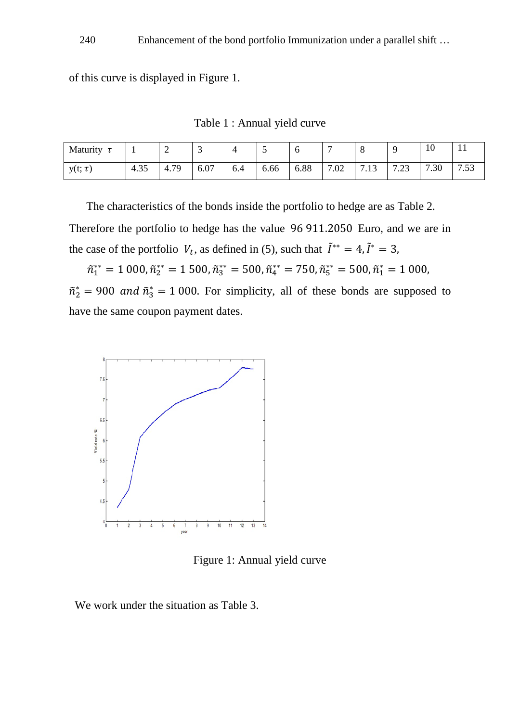of this curve is displayed in Figure 1.

Table 1 : Annual yield curve

| Maturity     |                          | ∼    | ◡    | $\overline{\phantom{a}}$ | $\overline{\phantom{0}}$ |      | -          |              |             | 10                    | <b>TT</b>          |
|--------------|--------------------------|------|------|--------------------------|--------------------------|------|------------|--------------|-------------|-----------------------|--------------------|
| $y(t; \tau)$ | $\cap$ $\subset$<br>4.35 | 4.79 | 6.07 | 6.4                      | 6.66                     | 6.88 | 700<br>.UZ | 712<br>ر 1 . | 7.22<br>د،. | $\overline{ }$<br>.30 | $\tau$ $\tau$<br>د |

 The characteristics of the bonds inside the portfolio to hedge are as Table 2. Therefore the portfolio to hedge has the value 96 911.2050 Euro, and we are in the case of the portfolio  $V_t$ , as defined in (5), such that  $\tilde{I}^{**} = 4$ ,  $\tilde{I}^* = 3$ ,

 $\tilde{n}_1^{**} = 1\ 000, \tilde{n}_2^{**} = 1\ 500, \tilde{n}_3^{**} = 500, \tilde{n}_4^{**} = 750, \tilde{n}_5^{**} = 500, \tilde{n}_1^{*} = 1\ 000,$  $\tilde{n}_2^* = 900$  and  $\tilde{n}_3^* = 1000$ . For simplicity, all of these bonds are supposed to have the same coupon payment dates.



Figure 1: Annual yield curve

We work under the situation as Table 3.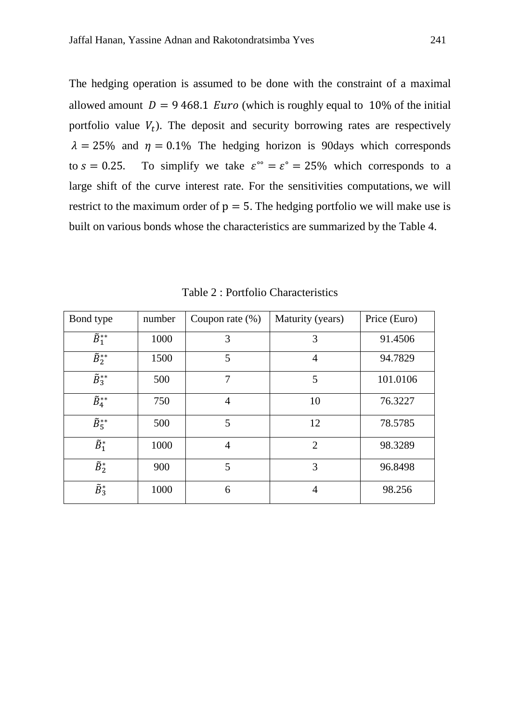The hedging operation is assumed to be done with the constraint of a maximal allowed amount  $D = 9468.1$  *Euro* (which is roughly equal to 10% of the initial portfolio value  $V_t$ ). The deposit and security borrowing rates are respectively  $\lambda = 25\%$  and  $\eta = 0.1\%$  The hedging horizon is 90days which corresponds to  $s = 0.25$ . To simplify we take  $\varepsilon^{\circ} = \varepsilon^{\circ} = 25\%$  which corresponds to a large shift of the curve interest rate. For the sensitivities computations, we will restrict to the maximum order of  $p = 5$ . The hedging portfolio we will make use is built on various bonds whose the characteristics are summarized by the Table 4.

| Bond type                     | number | Coupon rate $(\%)$ | Maturity (years) | Price (Euro) |
|-------------------------------|--------|--------------------|------------------|--------------|
| $\overline{\tilde{B}}_1^{**}$ | 1000   | 3                  | 3                | 91.4506      |
| $\overline{\tilde{B}}_2^{**}$ | 1500   | 5                  | 4                | 94.7829      |
| $\tilde{B}_{3}^{**}$          | 500    | $\overline{7}$     | 5                | 101.0106     |
| $\tilde{B}_4^{**}$            | 750    | $\overline{4}$     | 10               | 76.3227      |
| $\tilde{B}_{5}^{**}$          | 500    | 5                  | 12               | 78.5785      |
| $\tilde{B}^*_1$               | 1000   | $\overline{4}$     | $\overline{2}$   | 98.3289      |
| $\tilde{B}_2^*$               | 900    | 5                  | 3                | 96.8498      |
| $\tilde{B}_3^*$               | 1000   | 6                  | 4                | 98.256       |

Table 2 : Portfolio Characteristics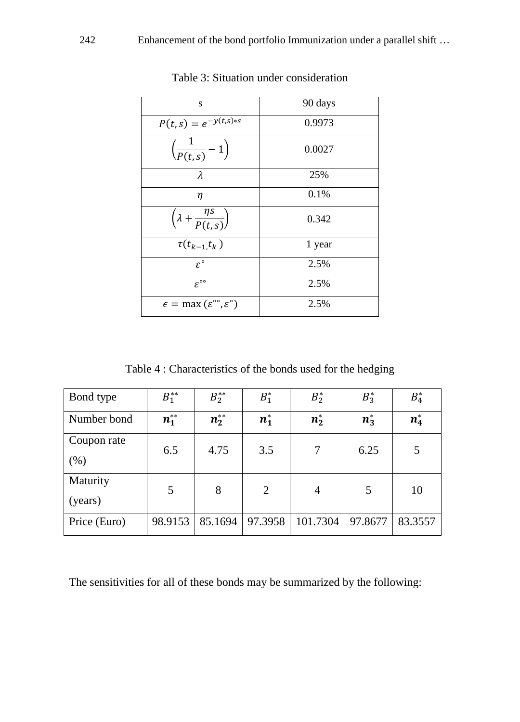| S                                                             | 90 days |
|---------------------------------------------------------------|---------|
| $P(t,s) = e^{-y(t,s)*s}$                                      | 0.9973  |
| $\left(\frac{1}{P(t,s)}-1\right)$                             | 0.0027  |
| λ                                                             | 25%     |
| η                                                             | 0.1%    |
| $\left(\lambda + \frac{\eta s}{P(t,s)}\right)$                | 0.342   |
| $\tau(t_{k-1},t_k)$                                           | 1 year  |
| $\varepsilon^{\circ}$                                         | 2.5%    |
| $\varepsilon^{\circ\circ}$                                    | 2.5%    |
| $\epsilon = \max(\varepsilon^{\infty}, \varepsilon^{\infty})$ | 2.5%    |

Table 3: Situation under consideration

Table 4 : Characteristics of the bonds used for the hedging

| Bond type    | $B_1^{**}$   | $B_{2}^{**}$ | $B_1^*$ | $B_2^*$  | $B_3^*$ | $B_4^*$ |
|--------------|--------------|--------------|---------|----------|---------|---------|
| Number bond  | $n_{1}^{**}$ | $n_2^{**}$   | $n_1^*$ | $n_2^*$  | $n_3^*$ | $n_4^*$ |
| Coupon rate  | 6.5          | 4.75         | 3.5     | 7        | 6.25    | 5       |
| $(\% )$      |              |              |         |          |         |         |
| Maturity     | 5            | 8            | 2       | 4        | 5       | 10      |
| (years)      |              |              |         |          |         |         |
| Price (Euro) | 98.9153      | 85.1694      | 97.3958 | 101.7304 | 97.8677 | 83.3557 |

The sensitivities for all of these bonds may be summarized by the following: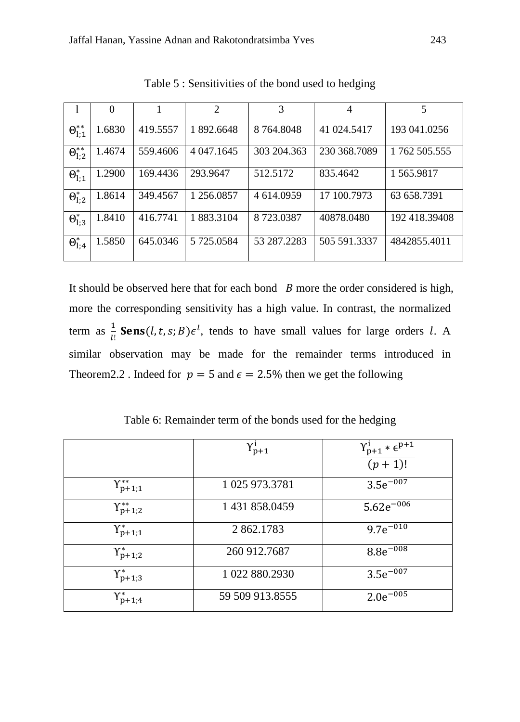|                     | $\Omega$ |          | $\overline{c}$ | 3           | 4            | 5             |
|---------------------|----------|----------|----------------|-------------|--------------|---------------|
| $\Theta_{l;1}^{**}$ | 1.6830   | 419.5557 | 892.6648       | 8 764,8048  | 41 024.5417  | 193 041.0256  |
| $\Theta_{1;2}^{**}$ | 1.4674   | 559.4606 | 4 047, 1645    | 303 204.363 | 230 368.7089 | 1 762 505.555 |
| $\Theta_{l;1}^*$    | 1.2900   | 169.4436 | 293.9647       | 512.5172    | 835.4642     | 1 565.9817    |
| $\Theta_{1,2}^*$    | 1.8614   | 349.4567 | 256.0857       | 4 614,0959  | 17 100.7973  | 63 658.7391   |
| $\Theta_{1:3}^*$    | 1.8410   | 416.7741 | 1 883.3104     | 8723.0387   | 40878.0480   | 192 418.39408 |
| $\Theta_{l;4}^*$    | 1.5850   | 645.0346 | 5 725.0584     | 53 287.2283 | 505 591.3337 | 4842855.4011  |

Table 5 : Sensitivities of the bond used to hedging

It should be observed here that for each bond  $\,B$  more the order considered is high, more the corresponding sensitivity has a high value. In contrast, the normalized term as  $\frac{1}{1}$ **Sens**(*l*, *t*, *s*; *B*) $\epsilon^l$ , tends to have small values for large orders *l*. A similar observation may be made for the remainder terms introduced in Theorem 2.2. Indeed for  $p = 5$  and  $\epsilon = 2.5\%$  then we get the following

Table 6: Remainder term of the bonds used for the hedging

|                          | $\gamma_{p+1}^i$ | $Y_{p+1}^1 * \epsilon^{p+1}$ |
|--------------------------|------------------|------------------------------|
|                          |                  | $(p + 1)!$                   |
| $Y_{p+1;1}^{**}$         | 1 025 973.3781   | $3.5e^{-007}$                |
| $Y_{p+1;2}^{**}$         | 1 431 858.0459   | $5.62e^{-006}$               |
| $Y_{p+1;1}^*$            | 2 862.1783       | $9.7e^{-010}$                |
| $Y_{p+1;2}^*$            | 260 912.7687     | $8.8e^{-008}$                |
| $Y_{p+1;3}^*$            | 1 022 880.2930   | $3.5e^{-007}$                |
| $\Upsilon^*_{\rm p+1;4}$ | 59 509 913.8555  | $2.0e^{-005}$                |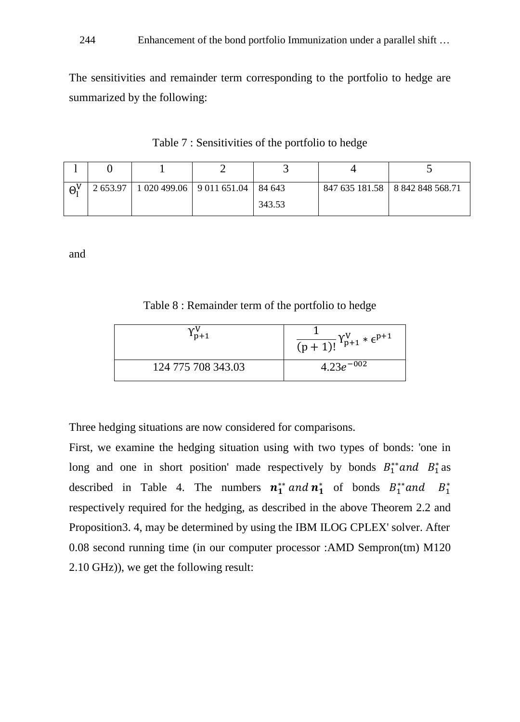The sensitivities and remainder term corresponding to the portfolio to hedge are summarized by the following:

Table 7 : Sensitivities of the portfolio to hedge

| $\Theta^V$ |  | 2 653.97   1 020 499.06   9 011 651.04   84 643 |        | 847 635 181.58   8 842 848 568.71 |
|------------|--|-------------------------------------------------|--------|-----------------------------------|
|            |  |                                                 | 343.53 |                                   |

and

Table 8 : Remainder term of the portfolio to hedge

| $1n+1$             | $\frac{1}{(p+1)!} Y_{p+1}^{V} * \epsilon^{p+1}$ |
|--------------------|-------------------------------------------------|
| 124 775 708 343.03 | $4.23e^{-0.02}$                                 |

Three hedging situations are now considered for comparisons.

First, we examine the hedging situation using with two types of bonds: 'one in long and one in short position' made respectively by bonds  $B_1^*$  and  $B_1^*$  as described in Table 4. The numbers  $n_1^{**}$  and  $n_1^*$  of bonds  $B_1^{**}$  and  $B_1^*$ respectively required for the hedging, as described in the above Theorem 2.2 and Proposition3. 4, may be determined by using the IBM ILOG CPLEX' solver. After 0.08 second running time (in our computer processor :AMD Sempron(tm) M120 2.10 GHz)), we get the following result: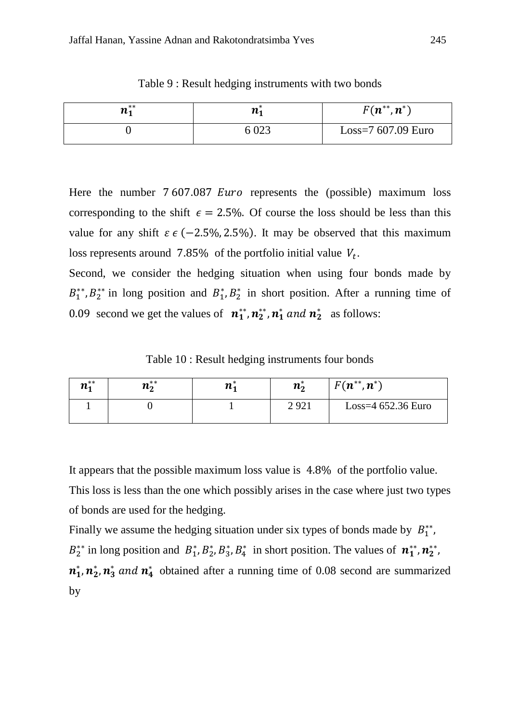| $n_{1}^{**}$ | <i>164</i> | $F(n^{**},n^*)$      |
|--------------|------------|----------------------|
|              | 6 023      | Loss= $7607.09$ Euro |

Table 9 : Result hedging instruments with two bonds

Here the number  $7607.087$  *Euro* represents the (possible) maximum loss corresponding to the shift  $\epsilon = 2.5\%$ . Of course the loss should be less than this value for any shift  $\varepsilon \in (-2.5\%, 2.5\%)$ . It may be observed that this maximum loss represents around 7.85% of the portfolio initial value  $V_t$ .

Second, we consider the hedging situation when using four bonds made by  $B_1^{**}, B_2^{**}$  in long position and  $B_1^*, B_2^*$  in short position. After a running time of 0.09 second we get the values of  $n_1^{**}, n_2^{**}, n_1^*$  and  $n_2^*$  as follows:

Table 10 : Result hedging instruments four bonds

| $n_1^{**}$ | $n_2^{**}$ | $n_{1}$ | $\boldsymbol{n}_{\boldsymbol{\theta}}$ | $F(n^{**},n^*)$      |
|------------|------------|---------|----------------------------------------|----------------------|
|            |            |         | 2921                                   | Loss= $4652.36$ Euro |

It appears that the possible maximum loss value is 4.8% of the portfolio value.

This loss is less than the one which possibly arises in the case where just two types of bonds are used for the hedging.

Finally we assume the hedging situation under six types of bonds made by  $B_1^{**}$ ,  $B_2^{**}$  in long position and  $B_1^*, B_2^*, B_3^*, B_4^*$  in short position. The values of  $n_1^{**}, n_2^{**}$  $n_1^*, n_2^*, n_3^*$  and  $n_4^*$  obtained after a running time of 0.08 second are summarized by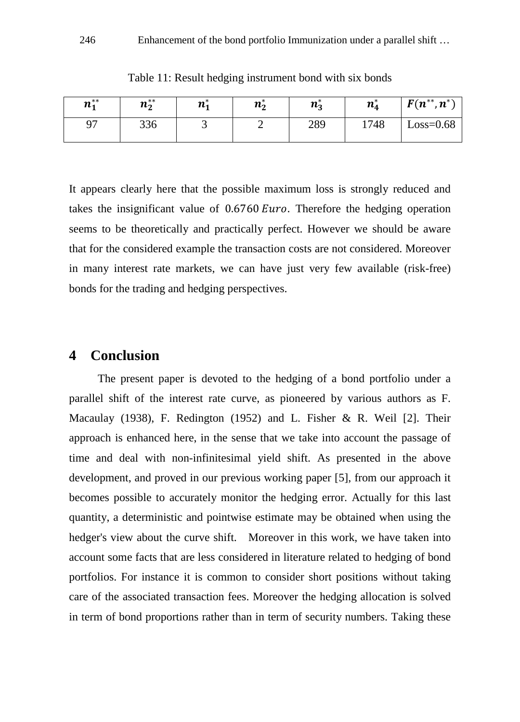| $n_{1}^{**}$ | $n_2^{**}$ | $n_{1}$ | $n_2^*$ | $n_3^*$ | $n_4^*$ | $F(n^{**}, n^*)$ |
|--------------|------------|---------|---------|---------|---------|------------------|
|              | 336        |         |         | 289     | 1748    | $Loss = 0.68$    |

Table 11: Result hedging instrument bond with six bonds

It appears clearly here that the possible maximum loss is strongly reduced and takes the insignificant value of  $0.6760 Euro$ . Therefore the hedging operation seems to be theoretically and practically perfect. However we should be aware that for the considered example the transaction costs are not considered. Moreover in many interest rate markets, we can have just very few available (risk-free) bonds for the trading and hedging perspectives.

#### **4 Conclusion**

 The present paper is devoted to the hedging of a bond portfolio under a parallel shift of the interest rate curve, as pioneered by various authors as F. Macaulay (1938), F. Redington (1952) and L. Fisher & R. Weil [2]. Their approach is enhanced here, in the sense that we take into account the passage of time and deal with non-infinitesimal yield shift. As presented in the above development, and proved in our previous working paper [5], from our approach it becomes possible to accurately monitor the hedging error. Actually for this last quantity, a deterministic and pointwise estimate may be obtained when using the hedger's view about the curve shift. Moreover in this work, we have taken into account some facts that are less considered in literature related to hedging of bond portfolios. For instance it is common to consider short positions without taking care of the associated transaction fees. Moreover the hedging allocation is solved in term of bond proportions rather than in term of security numbers. Taking these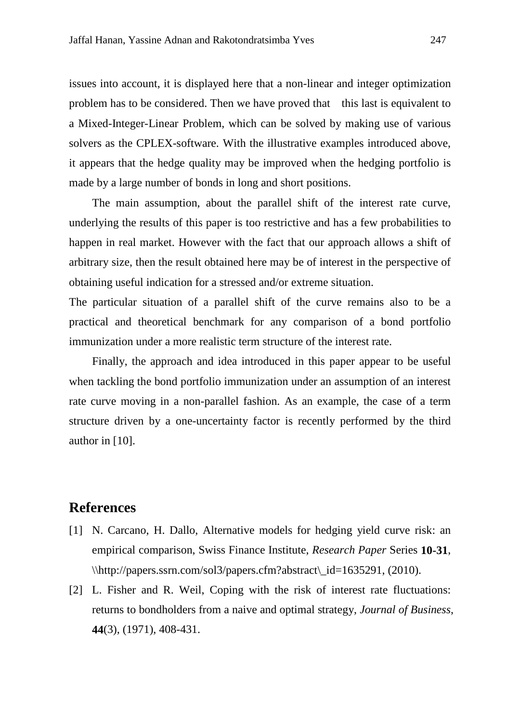issues into account, it is displayed here that a non-linear and integer optimization problem has to be considered. Then we have proved that this last is equivalent to a Mixed-Integer-Linear Problem, which can be solved by making use of various solvers as the CPLEX-software. With the illustrative examples introduced above, it appears that the hedge quality may be improved when the hedging portfolio is made by a large number of bonds in long and short positions.

The main assumption, about the parallel shift of the interest rate curve, underlying the results of this paper is too restrictive and has a few probabilities to happen in real market. However with the fact that our approach allows a shift of arbitrary size, then the result obtained here may be of interest in the perspective of obtaining useful indication for a stressed and/or extreme situation.

The particular situation of a parallel shift of the curve remains also to be a practical and theoretical benchmark for any comparison of a bond portfolio immunization under a more realistic term structure of the interest rate.

Finally, the approach and idea introduced in this paper appear to be useful when tackling the bond portfolio immunization under an assumption of an interest rate curve moving in a non-parallel fashion. As an example, the case of a term structure driven by a one-uncertainty factor is recently performed by the third author in [10].

## **References**

- [1] N. Carcano, H. Dallo, Alternative models for hedging yield curve risk: an empirical comparison, Swiss Finance Institute, *Research Paper* Series **10-31**, \\http://papers.ssrn.com/sol3/papers.cfm?abstract\\_id=1635291, (2010).
- [2] L. Fisher and R. Weil, Coping with the risk of interest rate fluctuations: returns to bondholders from a naive and optimal strategy, *Journal of Business*, **44**(3), (1971), 408-431.